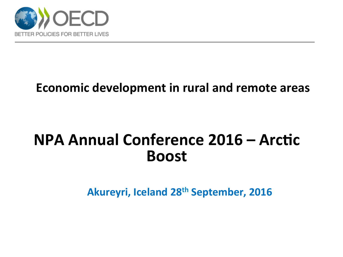

### **Economic development in rural and remote areas**

## **NPA Annual Conference 2016 – Arctic Boost**

**Akureyri, Iceland 28<sup>th</sup> September, 2016**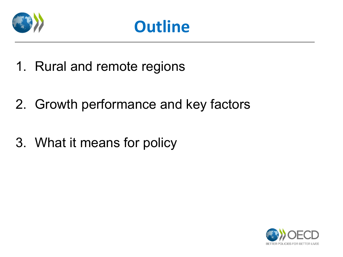



- 1. Rural and remote regions
- 2. Growth performance and key factors
- 3. What it means for policy

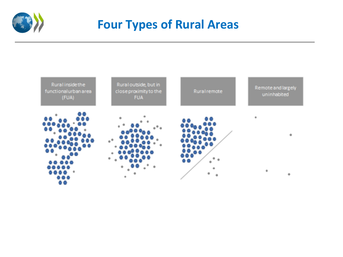

## **Four Types of Rural Areas**

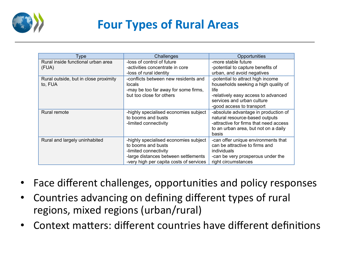

## **Four Types of Rural Areas**

| Type                                             | Challenges                                                                                                                                                              | Opportunities                                                                                                                                                                        |
|--------------------------------------------------|-------------------------------------------------------------------------------------------------------------------------------------------------------------------------|--------------------------------------------------------------------------------------------------------------------------------------------------------------------------------------|
| Rural inside functional urban area<br>(FUA)      | -loss of control of future<br>-activities concentrate in core<br>-loss of rural identity                                                                                | -more stable future<br>-potential to capture benefits of<br>urban, and avoid negatives                                                                                               |
| Rural outside, but in close proximity<br>to, FUA | -conflicts between new residents and<br>locals<br>-may be too far away for some firms,<br>but too close for others                                                      | -potential to attract high income<br>households seeking a high quality of<br>life.<br>-relatively easy access to advanced<br>services and urban culture<br>-good access to transport |
| Rural remote                                     | -highly specialised economies subject<br>to booms and busts<br>-limited connectivity                                                                                    | -absolute advantage in production of<br>natural resource-based outputs<br>-attractive for firms that need access<br>to an urban area, but not on a daily<br>basis                    |
| Rural and largely uninhabited                    | -highly specialised economies subject<br>to booms and busts<br>-limited connectivity<br>-large distances between settlements<br>-very high per capita costs of services | -can offer unique environments that<br>can be attractive to firms and<br>individuals<br>-can be very prosperous under the<br>right circumstances                                     |

- Face different challenges, opportunities and policy responses
- Countries advancing on defining different types of rural regions, mixed regions (urban/rural)
- Context matters: different countries have different definitions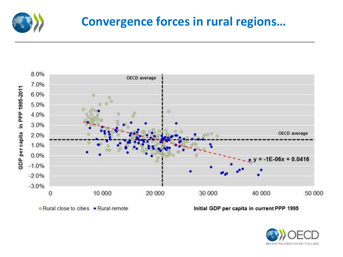

## **Convergence forces in rural regions...**



· Rural close to cities · Rural remote

Initial GDP per capita in current PPP 1995

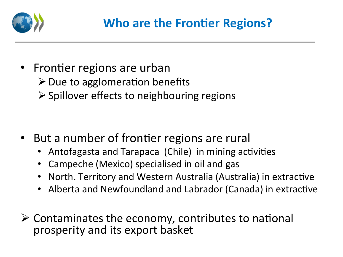

• Frontier regions are urban  $\triangleright$  Due to agglomeration benefits  $\triangleright$  Spillover effects to neighbouring regions

- But a number of frontier regions are rural
	- Antofagasta and Tarapaca (Chile) in mining activities
	- Campeche (Mexico) specialised in oil and gas
	- North. Territory and Western Australia (Australia) in extractive
	- Alberta and Newfoundland and Labrador (Canada) in extractive
- $\triangleright$  Contaminates the economy, contributes to national prosperity and its export basket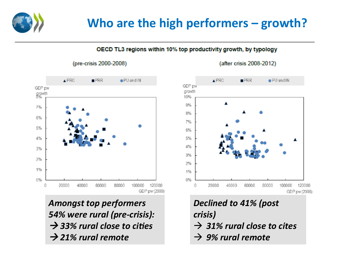## Who are the high performers – growth?

OECD TL3 regions within 10% top productivity growth, by typology

#### (pre-crisis 2000-2008)



**Amongst top performers** *54%* were rural (pre-crisis):  $\rightarrow$  33% rural close to cities  $\rightarrow$  21% rural remote



**Declined to 41% (post** *crisis)*   $\rightarrow$  31% rural close to cites  $\rightarrow$  9% rural remote

#### (after crisis 2008-2012)

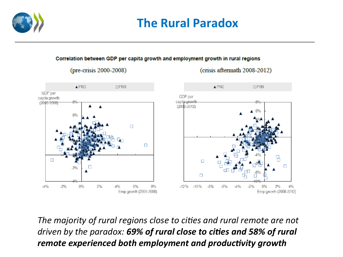

### **The Rural Paradox**

#### Correlation between GDP per capita growth and employment growth in rural regions

(pre-crisis 2000-2008)



The majority of rural regions close to cities and rural remote are not *driven by the paradox:* 69% of rural close to cities and 58% of rural *remote experienced both employment and productivity growth* 

#### (crisis aftermath 2008-2012)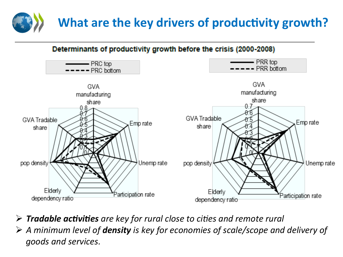# **What are the key drivers of productivity growth?**

Determinants of productivity growth before the crisis (2000-2008)



- **► Tradable activities** are key for rural close to cities and remote rural
- **→** A minimum level of **density** is key for economies of scale/scope and delivery of goods and services.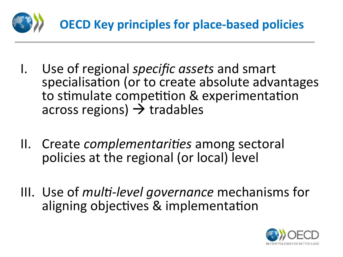

- I. Use of regional *specific assets* and smart specialisation (or to create absolute advantages to stimulate competition & experimentation across regions)  $\rightarrow$  tradables
- II. Create *complementarities* among sectoral policies at the regional (or local) level
- III. Use of *multi-level governance* mechanisms for aligning objectives & implementation

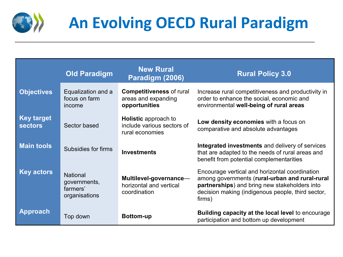

# **An Evolving OECD Rural Paradigm**

|                                     | <b>Old Paradigm</b>                                          | <b>New Rural</b><br>Paradigm (2006)                                          | <b>Rural Policy 3.0</b>                                                                                                                                                                                          |
|-------------------------------------|--------------------------------------------------------------|------------------------------------------------------------------------------|------------------------------------------------------------------------------------------------------------------------------------------------------------------------------------------------------------------|
| <b>Objectives</b>                   | Equalization and a<br>focus on farm<br>income                | <b>Competitiveness of rural</b><br>areas and expanding<br>opportunities      | Increase rural competitiveness and productivity in<br>order to enhance the social, economic and<br>environmental well-being of rural areas                                                                       |
| <b>Key target</b><br><b>sectors</b> | Sector based                                                 | <b>Holistic</b> approach to<br>include various sectors of<br>rural economies | Low density economies with a focus on<br>comparative and absolute advantages                                                                                                                                     |
| <b>Main tools</b>                   | Subsidies for firms                                          | <b>Investments</b>                                                           | Integrated investments and delivery of services<br>that are adapted to the needs of rural areas and<br>benefit from potential complementarities                                                                  |
| <b>Key actors</b>                   | <b>National</b><br>governments,<br>farmers'<br>organisations | Multilevel-governance-<br>horizontal and vertical<br>coordination            | Encourage vertical and horizontal coordination<br>among governments (rural-urban and rural-rural<br>partnerships) and bring new stakeholders into<br>decision making (indigenous people, third sector,<br>firms) |
| <b>Approach</b>                     | Top down                                                     | <b>Bottom-up</b>                                                             | <b>Building capacity at the local level to encourage</b><br>participation and bottom up development                                                                                                              |